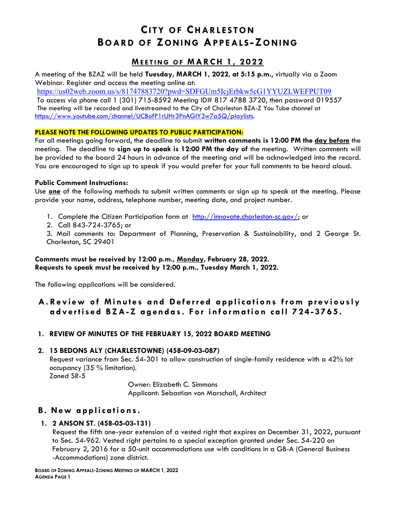# **CITY OF CHARLESTON BOARD OF ZONING APPEALS -ZONING**

### **MEETING OF MARCH 1 , 2022**

A meeting of the BZAZ will be held **Tuesday, MARCH 1, 2022, at 5:15 p.m.**, virtually via a Zoom Webinar. Register and access the meeting online at:

<https://us02web.zoom.us/s/81747883720?pwd=SDFGUm5IcjErbkw5cG1YYUZLWEFPUT09>

To access via phone call 1 (301) 715-8592 Meeting ID# 817 4788 3720, then password 019557 The meeting will be recorded and livestreamed to the City of Charleston BZA-Z You Tube channel at [https://www.youtube.com/channel/UCBofP1rUHr3PnAGIY3w7a5Q/playlists.](https://www.youtube.com/channel/UCBofP1rUHr3PnAGIY3w7a5Q/playlists)

### **PLEASE NOTE THE FOLLOWING UPDATES TO PUBLIC PARTICIPATION:**

For all meetings going forward, the deadline to submit **written comments is 12:00 PM the day before** the meeting. The deadline to **sign up to speak is 12:00 PM the day of** the meeting. Written comments will be provided to the board 24 hours in advance of the meeting and will be acknowledged into the record. You are encouraged to sign up to speak if you would prefer for your full comments to be heard aloud.

### **Public Comment Instructions:**

Use **one** of the following methods to submit written comments or sign up to speak at the meeting. Please provide your name, address, telephone number, meeting date, and project number.

- 1. Complete the Citizen Participation form at [http://innovate.charleston-sc.gov/;](http://innovate.charleston-sc.gov/) or
- 2. Call 843-724-3765; or

3. Mail comments to: Department of Planning, Preservation & Sustainability, and 2 George St. Charleston, SC 29401

### **Comments must be received by 12:00 p.m., Monday, February 28, 2022. Requests to speak must be received by 12:00 p.m., Tuesday March 1, 2022.**

The following applications will be considered.

## **A . Review of Minutes and Deferred applications from previously advertised BZA- Z agendas. For information call 724 - 3765.**

### **1. REVIEW OF MINUTES OF THE FEBRUARY 15, 2022 BOARD MEETING**

### **2. 15 BEDONS ALY (CHARLESTOWNE) (458-09-03-087)**

Request variance from Sec. 54-301 to allow construction of single-family residence with a 42% lot occupancy (35 % limitation).

Zoned SR-5

Owner: Elizabeth C. Simmons Applicant: Sebastian von Marschall, Architect

### **B . New applications.**

### **1. 2 ANSON ST. (458-05-03-131)**

Request the fifth one-year extension of a vested right that expires on December 31, 2022, pursuant to Sec. 54-962. Vested right pertains to a special exception granted under Sec. 54-220 on February 2, 2016 for a 50-unit accommodations use with conditions in a GB-A (General Business -Accommodations) zone district.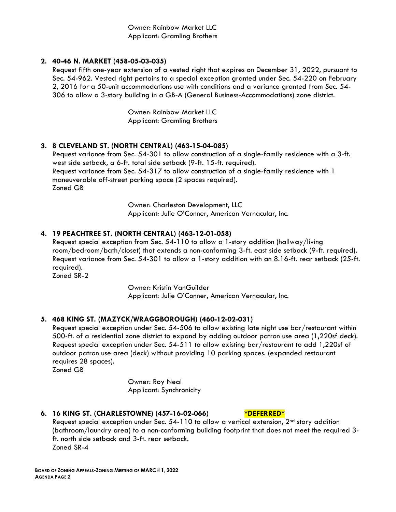Owner: Rainbow Market LLC Applicant: Gramling Brothers

#### **2. 40-46 N. MARKET (458-05-03-035)**

Request fifth one-year extension of a vested right that expires on December 31, 2022, pursuant to Sec. 54-962. Vested right pertains to a special exception granted under Sec. 54-220 on February 2, 2016 for a 50-unit accommodations use with conditions and a variance granted from Sec. 54- 306 to allow a 3-story building in a GB-A (General Business-Accommodations) zone district.

> Owner: Rainbow Market LLC Applicant: Gramling Brothers

### **3. 8 CLEVELAND ST. (NORTH CENTRAL) (463-15-04-085)**

Request variance from Sec. 54-301 to allow construction of a single-family residence with a 3-ft. west side setback, a 6-ft. total side setback (9-ft. 15-ft. required). Request variance from Sec. 54-317 to allow construction of a single-family residence with 1 maneuverable off-street parking space (2 spaces required). Zoned GB

> Owner: Charleston Development, LLC Applicant: Julie O'Conner, American Vernacular, Inc.

### **4. 19 PEACHTREE ST. (NORTH CENTRAL) (463-12-01-058)**

Request special exception from Sec. 54-110 to allow a 1-story addition (hallway/living room/bedroom/bath/closet) that extends a non-conforming 3-ft. east side setback (9-ft. required). Request variance from Sec. 54-301 to allow a 1-story addition with an 8.16-ft. rear setback (25-ft. required).

Zoned SR-2

Owner: Kristin VanGuilder Applicant: Julie O'Conner, American Vernacular, Inc.

#### **5. 468 KING ST. (MAZYCK/WRAGGBOROUGH) (460-12-02-031)**

Request special exception under Sec. 54-506 to allow existing late night use bar/restaurant within 500-ft. of a residential zone district to expand by adding outdoor patron use area (1,220sf deck). Request special exception under Sec. 54-511 to allow existing bar/restaurant to add 1,220sf of outdoor patron use area (deck) without providing 10 parking spaces. (expanded restaurant requires 28 spaces).

Zoned GB

Owner: Roy Neal Applicant: Synchronicity

#### **6. 16 KING ST. (CHARLESTOWNE) (457-16-02-066) \*DEFERRED\***

Request special exception under Sec.  $54-110$  to allow a vertical extension,  $2<sup>nd</sup>$  story addition (bathroom/laundry area) to a non-conforming building footprint that does not meet the required 3 ft. north side setback and 3-ft. rear setback. Zoned SR-4